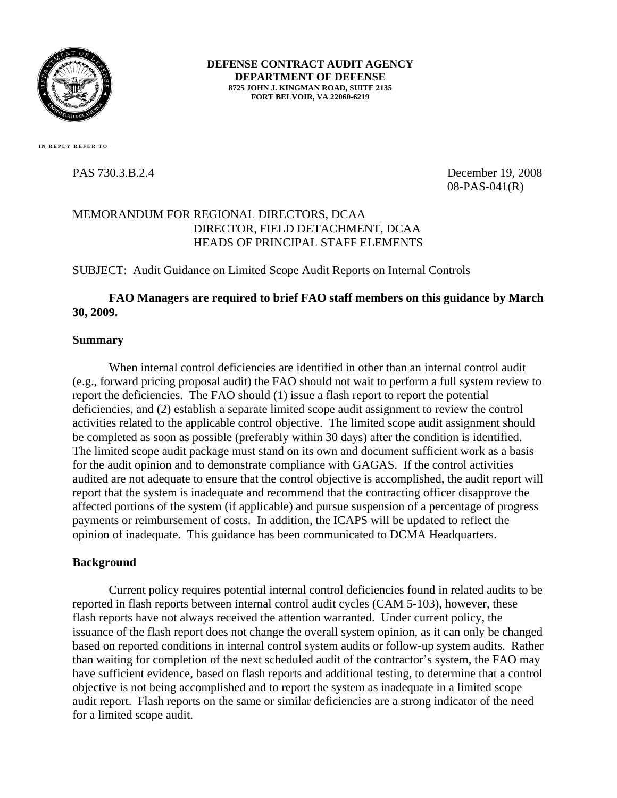

**DEFENSE CONTRACT AUDIT AGENCY DEPARTMENT OF DEFENSE 8725 JOHN J. KINGMAN ROAD, SUITE 2135 FORT BELVOIR, VA 22060-6219** 

PAS 730.3.B.2.4 December 19, 2008 08-PAS-041(R)

#### MEMORANDUM FOR REGIONAL DIRECTORS, DCAA DIRECTOR, FIELD DETACHMENT, DCAA HEADS OF PRINCIPAL STAFF ELEMENTS

SUBJECT: Audit Guidance on Limited Scope Audit Reports on Internal Controls

#### **FAO Managers are required to brief FAO staff members on this guidance by March 30, 2009.**

#### **Summary**

When internal control deficiencies are identified in other than an internal control audit (e.g., forward pricing proposal audit) the FAO should not wait to perform a full system review to report the deficiencies. The FAO should (1) issue a flash report to report the potential deficiencies, and (2) establish a separate limited scope audit assignment to review the control activities related to the applicable control objective. The limited scope audit assignment should be completed as soon as possible (preferably within 30 days) after the condition is identified. The limited scope audit package must stand on its own and document sufficient work as a basis for the audit opinion and to demonstrate compliance with GAGAS. If the control activities audited are not adequate to ensure that the control objective is accomplished, the audit report will report that the system is inadequate and recommend that the contracting officer disapprove the affected portions of the system (if applicable) and pursue suspension of a percentage of progress payments or reimbursement of costs. In addition, the ICAPS will be updated to reflect the opinion of inadequate. This guidance has been communicated to DCMA Headquarters.

#### **Background**

Current policy requires potential internal control deficiencies found in related audits to be reported in flash reports between internal control audit cycles (CAM 5-103), however, these flash reports have not always received the attention warranted. Under current policy, the issuance of the flash report does not change the overall system opinion, as it can only be changed based on reported conditions in internal control system audits or follow-up system audits. Rather than waiting for completion of the next scheduled audit of the contractor's system, the FAO may have sufficient evidence, based on flash reports and additional testing, to determine that a control objective is not being accomplished and to report the system as inadequate in a limited scope audit report. Flash reports on the same or similar deficiencies are a strong indicator of the need for a limited scope audit.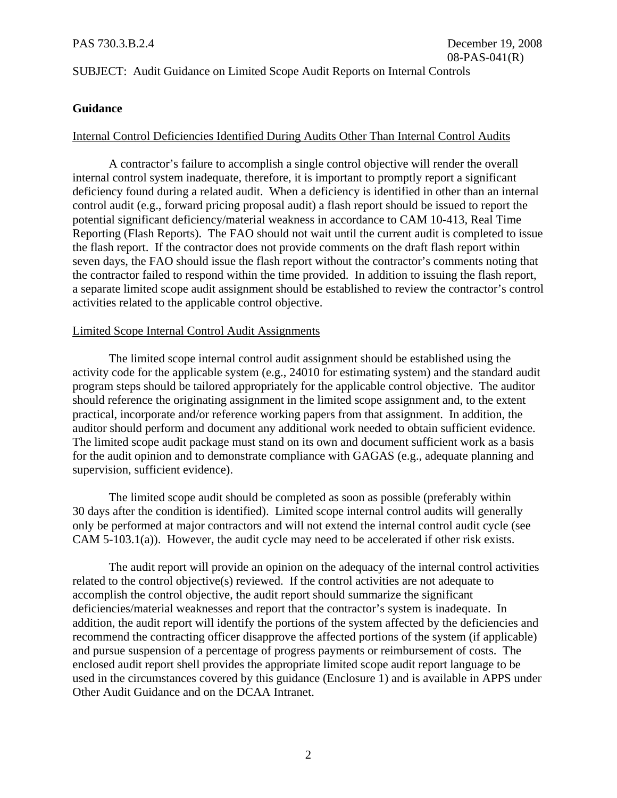#### SUBJECT: Audit Guidance on Limited Scope Audit Reports on Internal Controls

#### **Guidance**

#### Internal Control Deficiencies Identified During Audits Other Than Internal Control Audits

A contractor's failure to accomplish a single control objective will render the overall internal control system inadequate, therefore, it is important to promptly report a significant deficiency found during a related audit. When a deficiency is identified in other than an internal control audit (e.g., forward pricing proposal audit) a flash report should be issued to report the potential significant deficiency/material weakness in accordance to CAM 10-413, Real Time Reporting (Flash Reports). The FAO should not wait until the current audit is completed to issue the flash report. If the contractor does not provide comments on the draft flash report within seven days, the FAO should issue the flash report without the contractor's comments noting that the contractor failed to respond within the time provided. In addition to issuing the flash report, a separate limited scope audit assignment should be established to review the contractor's control activities related to the applicable control objective.

#### Limited Scope Internal Control Audit Assignments

The limited scope internal control audit assignment should be established using the activity code for the applicable system (e.g., 24010 for estimating system) and the standard audit program steps should be tailored appropriately for the applicable control objective. The auditor should reference the originating assignment in the limited scope assignment and, to the extent practical, incorporate and/or reference working papers from that assignment. In addition, the auditor should perform and document any additional work needed to obtain sufficient evidence. The limited scope audit package must stand on its own and document sufficient work as a basis for the audit opinion and to demonstrate compliance with GAGAS (e.g., adequate planning and supervision, sufficient evidence).

The limited scope audit should be completed as soon as possible (preferably within 30 days after the condition is identified). Limited scope internal control audits will generally only be performed at major contractors and will not extend the internal control audit cycle (see CAM 5-103.1(a)). However, the audit cycle may need to be accelerated if other risk exists.

The audit report will provide an opinion on the adequacy of the internal control activities related to the control objective(s) reviewed. If the control activities are not adequate to accomplish the control objective, the audit report should summarize the significant deficiencies/material weaknesses and report that the contractor's system is inadequate. In addition, the audit report will identify the portions of the system affected by the deficiencies and recommend the contracting officer disapprove the affected portions of the system (if applicable) and pursue suspension of a percentage of progress payments or reimbursement of costs. The enclosed audit report shell provides the appropriate limited scope audit report language to be used in the circumstances covered by this guidance (Enclosure 1) and is available in APPS under Other Audit Guidance and on the DCAA Intranet.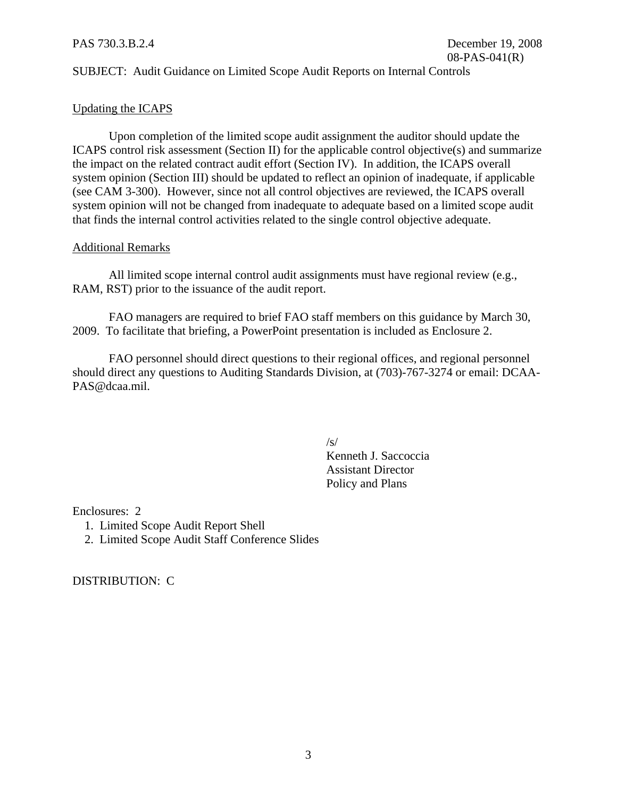#### SUBJECT: Audit Guidance on Limited Scope Audit Reports on Internal Controls

#### Updating the ICAPS

Upon completion of the limited scope audit assignment the auditor should update the ICAPS control risk assessment (Section II) for the applicable control objective(s) and summarize the impact on the related contract audit effort (Section IV). In addition, the ICAPS overall system opinion (Section III) should be updated to reflect an opinion of inadequate, if applicable (see CAM 3-300). However, since not all control objectives are reviewed, the ICAPS overall system opinion will not be changed from inadequate to adequate based on a limited scope audit that finds the internal control activities related to the single control objective adequate.

#### Additional Remarks

All limited scope internal control audit assignments must have regional review (e.g., RAM, RST) prior to the issuance of the audit report.

FAO managers are required to brief FAO staff members on this guidance by March 30, 2009. To facilitate that briefing, a PowerPoint presentation is included as Enclosure 2.

FAO personnel should direct questions to their regional offices, and regional personnel should direct any questions to Auditing Standards Division, at (703)-767-3274 or email: DCAA-PAS@dcaa.mil.

 $\sqrt{s}$ /

Kenneth J. Saccoccia Assistant Director Policy and Plans

Enclosures: 2

- 1. Limited Scope Audit Report Shell
- 2. Limited Scope Audit Staff Conference Slides

DISTRIBUTION: C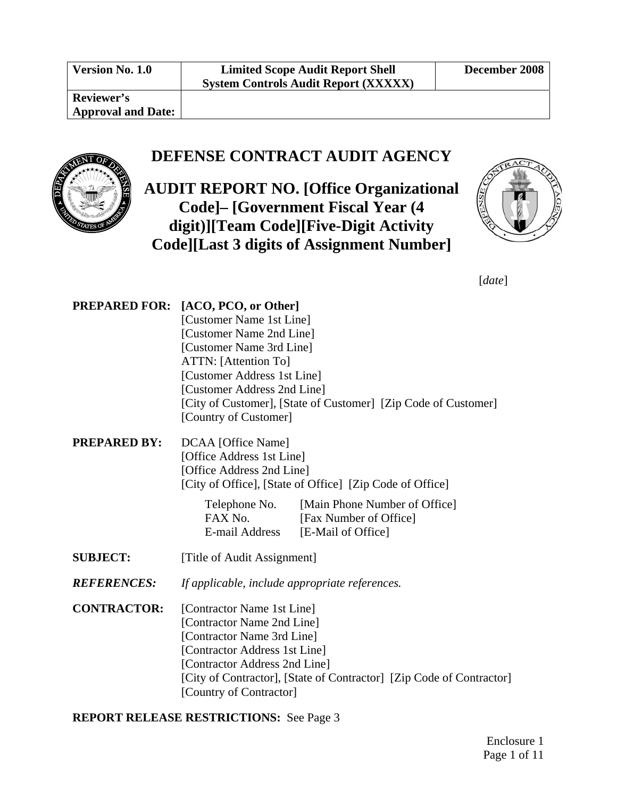**Version No. 1.0 Limited Scope Audit Report Shell System Controls Audit Report (XXXXX)** 

**Reviewer's Approval and Date:** 

#### **DEFENSE CONTRACT AUDIT AGENCY**

**AUDIT REPORT NO. [Office Organizational Code]– [Government Fiscal Year (4 digit)][Team Code][Five-Digit Activity Code][Last 3 digits of Assignment Number]**



[*date*]

| PREPARED FOR:       | [ACO, PCO, or Other]                                           |
|---------------------|----------------------------------------------------------------|
|                     | [Customer Name 1st Line]                                       |
|                     | [Customer Name 2nd Line]                                       |
|                     | [Customer Name 3rd Line]                                       |
|                     | ATTN: [Attention To]                                           |
|                     | [Customer Address 1st Line]                                    |
|                     | [Customer Address 2nd Line]                                    |
|                     | [City of Customer], [State of Customer] [Zip Code of Customer] |
|                     | [Country of Customer]                                          |
| <b>PREPARED BY:</b> | DCAA [Office Name]                                             |
|                     | [Office Address 1st Line]                                      |
|                     | [Office Address 2nd Line]                                      |
|                     | [City of Office], [State of Office] [Zip Code of Office]       |

Telephone No. [Main Phone Number of Office] FAX No. [Fax Number of Office] E-mail Address [E-Mail of Office]

- **SUBJECT:** [Title of Audit Assignment]
- *REFERENCES: If applicable, include appropriate references.*
- **CONTRACTOR:** [Contractor Name 1st Line] [Contractor Name 2nd Line] [Contractor Name 3rd Line] [Contractor Address 1st Line] [Contractor Address 2nd Line] [City of Contractor], [State of Contractor] [Zip Code of Contractor] [Country of Contractor]

**REPORT RELEASE RESTRICTIONS:** See Page [3](#page-5-0)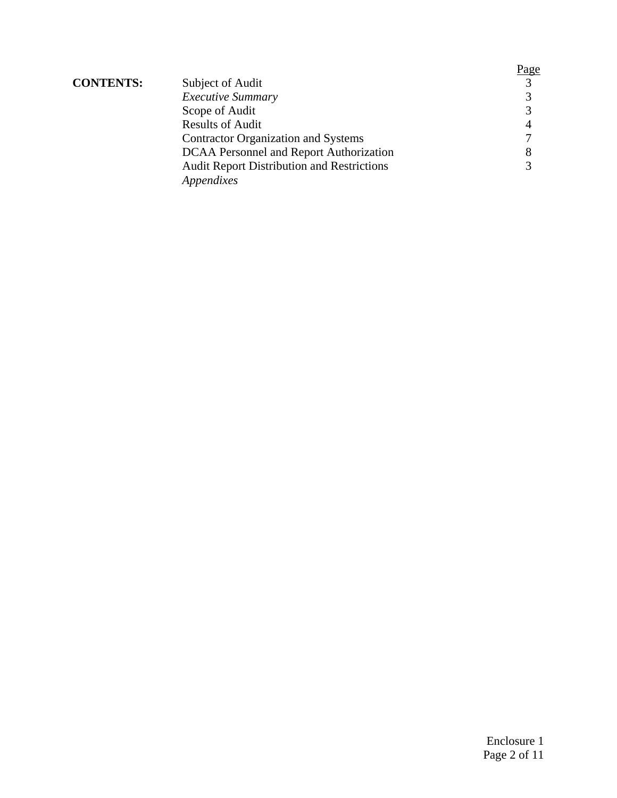|                  |                                                   | <u>Page</u>       |
|------------------|---------------------------------------------------|-------------------|
| <b>CONTENTS:</b> | Subject of Audit                                  | $\mathcal{R}$     |
|                  | <b>Executive Summary</b>                          | $\mathbf{\Omega}$ |
|                  | Scope of Audit                                    |                   |
|                  | <b>Results of Audit</b>                           |                   |
|                  | <b>Contractor Organization and Systems</b>        |                   |
|                  | DCAA Personnel and Report Authorization           | 8                 |
|                  | <b>Audit Report Distribution and Restrictions</b> |                   |
|                  | Appendixes                                        |                   |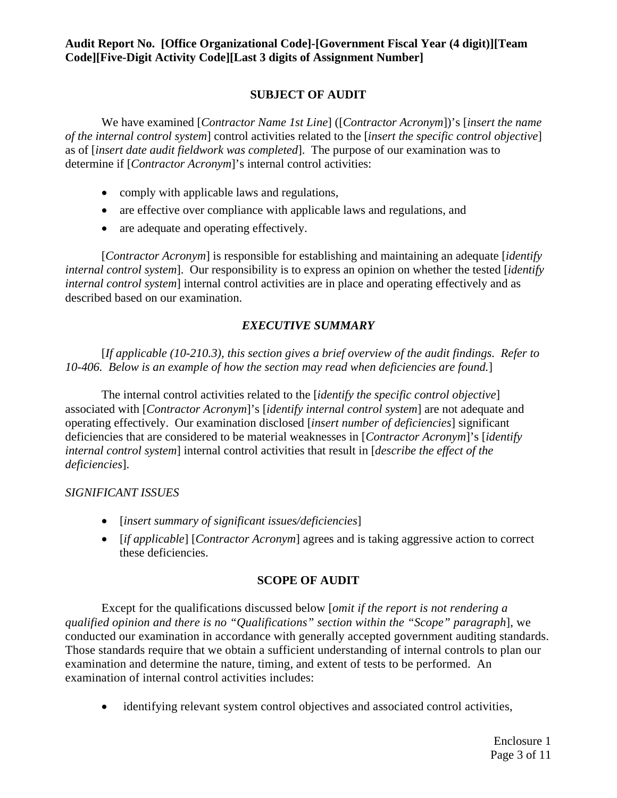#### **SUBJECT OF AUDIT**

<span id="page-5-0"></span>We have examined [*Contractor Name 1st Line*] ([*Contractor Acronym*])'s [*insert the name of the internal control system*] control activities related to the [*insert the specific control objective*] as of [*insert date audit fieldwork was completed*]. The purpose of our examination was to determine if [*Contractor Acronym*]'s internal control activities:

- comply with applicable laws and regulations,
- are effective over compliance with applicable laws and regulations, and
- are adequate and operating effectively.

[*Contractor Acronym*] is responsible for establishing and maintaining an adequate [*identify internal control system*]. Our responsibility is to express an opinion on whether the tested [*identify internal control system*] internal control activities are in place and operating effectively and as described based on our examination.

#### *EXECUTIVE SUMMARY*

<span id="page-5-1"></span>[*If applicable (10-210.3), this section gives a brief overview of the audit findings. Refer to 10-406. Below is an example of how the section may read when deficiencies are found.*]

The internal control activities related to the [*identify the specific control objective*] associated with [*Contractor Acronym*]'s [*identify internal control system*] are not adequate and operating effectively. Our examination disclosed [*insert number of deficiencies*] significant deficiencies that are considered to be material weaknesses in [*Contractor Acronym*]'s [*identify internal control system*] internal control activities that result in [*describe the effect of the deficiencies*].

#### *SIGNIFICANT ISSUES*

- [*insert summary of significant issues/deficiencies*]
- [*if applicable*] [*Contractor Acronym*] agrees and is taking aggressive action to correct these deficiencies.

#### **SCOPE OF AUDIT**

<span id="page-5-2"></span>Except for the qualifications discussed below [*omit if the report is not rendering a qualified opinion and there is no "Qualifications" section within the "Scope" paragraph*], we conducted our examination in accordance with generally accepted government auditing standards. Those standards require that we obtain a sufficient understanding of internal controls to plan our examination and determine the nature, timing, and extent of tests to be performed. An examination of internal control activities includes:

• identifying relevant system control objectives and associated control activities,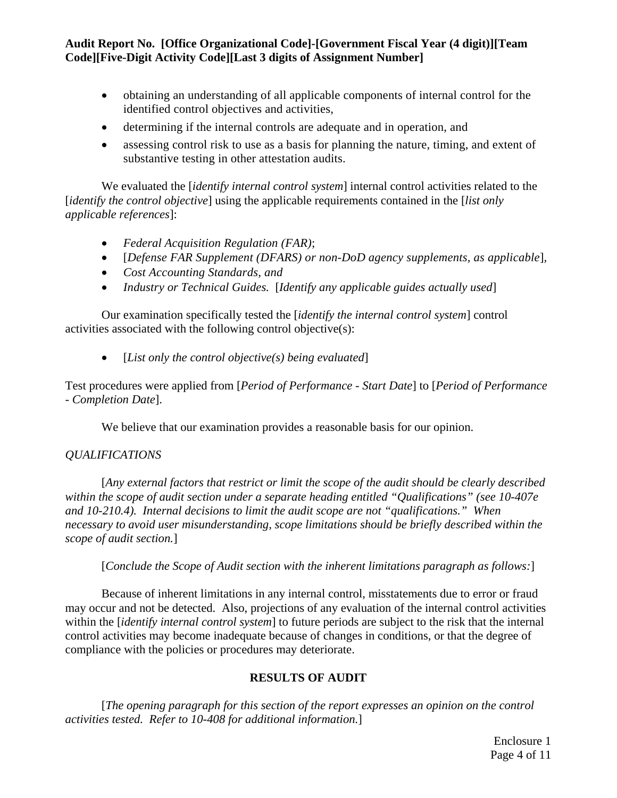- obtaining an understanding of all applicable components of internal control for the identified control objectives and activities,
- determining if the internal controls are adequate and in operation, and
- assessing control risk to use as a basis for planning the nature, timing, and extent of substantive testing in other attestation audits.

We evaluated the [*identify internal control system*] internal control activities related to the [*identify the control objective*] using the applicable requirements contained in the [*list only applicable references*]:

- *Federal Acquisition Regulation (FAR)*;
- [*Defense FAR Supplement (DFARS) or non-DoD agency supplements, as applicable*]*,*
- *Cost Accounting Standards, and*
- *Industry or Technical Guides.* [*Identify any applicable guides actually used*]

Our examination specifically tested the [*identify the internal control system*] control activities associated with the following control objective(s):

• [*List only the control objective(s) being evaluated*]

Test procedures were applied from [*Period of Performance - Start Date*] to [*Period of Performance - Completion Date*].

We believe that our examination provides a reasonable basis for our opinion.

#### *QUALIFICATIONS*

[*Any external factors that restrict or limit the scope of the audit should be clearly described within the scope of audit section under a separate heading entitled "Qualifications" (see 10-407e and 10-210.4). Internal decisions to limit the audit scope are not "qualifications." When necessary to avoid user misunderstanding, scope limitations should be briefly described within the scope of audit section.*]

[*Conclude the Scope of Audit section with the inherent limitations paragraph as follows:*]

Because of inherent limitations in any internal control, misstatements due to error or fraud may occur and not be detected. Also, projections of any evaluation of the internal control activities within the [*identify internal control system*] to future periods are subject to the risk that the internal control activities may become inadequate because of changes in conditions, or that the degree of compliance with the policies or procedures may deteriorate.

#### **RESULTS OF AUDIT**

<span id="page-6-0"></span>[*The opening paragraph for this section of the report expresses an opinion on the control activities tested. Refer to 10-408 for additional information.*]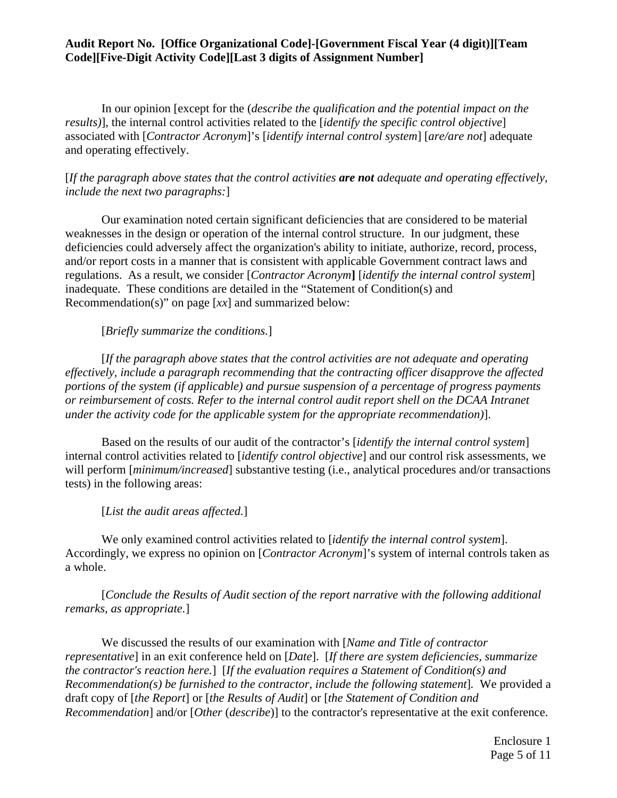In our opinion [except for the (*describe the qualification and the potential impact on the results)*], the internal control activities related to the [*identify the specific control objective*] associated with [*Contractor Acronym*]'s [*identify internal control system*] [*are/are not*] adequate and operating effectively.

#### [*If the paragraph above states that the control activities are not adequate and operating effectively, include the next two paragraphs:*]

Our examination noted certain significant deficiencies that are considered to be material weaknesses in the design or operation of the internal control structure. In our judgment, these deficiencies could adversely affect the organization's ability to initiate, authorize, record, process, and/or report costs in a manner that is consistent with applicable Government contract laws and regulations. As a result, we consider [*Contractor Acronym***]** [*identify the internal control system*] inadequate. These conditions are detailed in the "Statement of Condition(s) and Recommendation(s)" on page [*xx*] and summarized below:

[*Briefly summarize the conditions.*]

[*If the paragraph above states that the control activities are not adequate and operating effectively, include a paragraph recommending that the contracting officer disapprove the affected portions of the system (if applicable) and pursue suspension of a percentage of progress payments or reimbursement of costs. Refer to the internal control audit report shell on the DCAA Intranet under the activity code for the applicable system for the appropriate recommendation)*].

Based on the results of our audit of the contractor's [*identify the internal control system*] internal control activities related to [*identify control objective*] and our control risk assessments, we will perform [*minimum/increased*] substantive testing (i.e., analytical procedures and/or transactions tests) in the following areas:

[*List the audit areas affected.*]

We only examined control activities related to [*identify the internal control system*]. Accordingly, we express no opinion on [*Contractor Acronym*]'s system of internal controls taken as a whole.

[*Conclude the Results of Audit section of the report narrative with the following additional remarks, as appropriate.*]

We discussed the results of our examination with [*Name and Title of contractor representative*] in an exit conference held on [*Date*]. [*If there are system deficiencies, summarize the contractor's reaction here.*][*If the evaluation requires a Statement of Condition(s) and Recommendation(s) be furnished to the contractor, include the following statement*]*.* We provided a draft copy of [*the Report*] or [*the Results of Audit*] or [*the Statement of Condition and Recommendation*] and/or [*Other* (*describe*)] to the contractor's representative at the exit conference.

> Enclosure 1 Page 5 of 11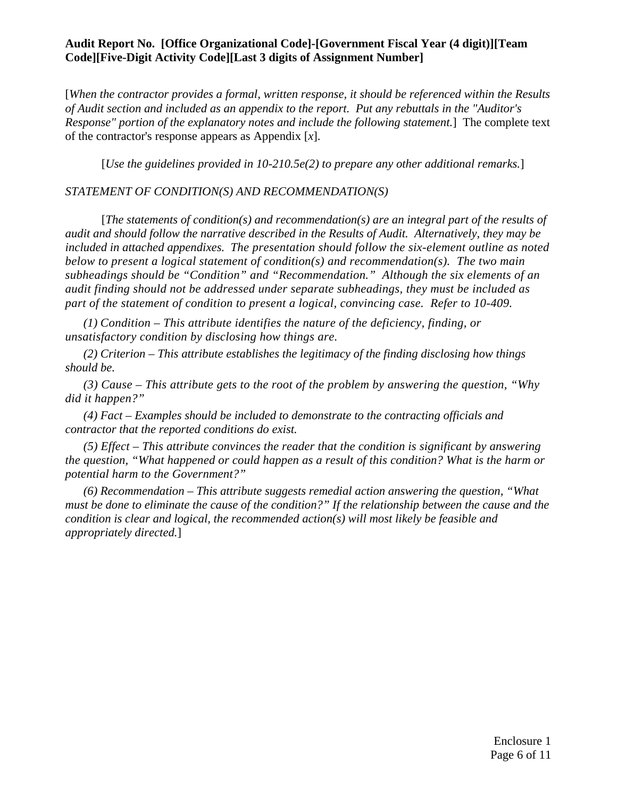[*When the contractor provides a formal, written response, it should be referenced within the Results of Audit section and included as an appendix to the report. Put any rebuttals in the "Auditor's Response" portion of the explanatory notes and include the following statement.*]The complete text of the contractor's response appears as Appendix [*x*].

[*Use the guidelines provided in 10-210.5e(2) to prepare any other additional remarks.*]

#### *STATEMENT OF CONDITION(S) AND RECOMMENDATION(S)*

[*The statements of condition(s) and recommendation(s) are an integral part of the results of audit and should follow the narrative described in the Results of Audit. Alternatively, they may be included in attached appendixes. The presentation should follow the six-element outline as noted below to present a logical statement of condition(s) and recommendation(s). The two main subheadings should be "Condition" and "Recommendation." Although the six elements of an audit finding should not be addressed under separate subheadings, they must be included as part of the statement of condition to present a logical, convincing case. Refer to 10-409.* 

*(1) Condition – This attribute identifies the nature of the deficiency, finding, or unsatisfactory condition by disclosing how things are.* 

*(2) Criterion – This attribute establishes the legitimacy of the finding disclosing how things should be.* 

*(3) Cause – This attribute gets to the root of the problem by answering the question, "Why did it happen?"* 

*(4) Fact – Examples should be included to demonstrate to the contracting officials and contractor that the reported conditions do exist.* 

*(5) Effect – This attribute convinces the reader that the condition is significant by answering the question, "What happened or could happen as a result of this condition? What is the harm or potential harm to the Government?"* 

*(6) Recommendation – This attribute suggests remedial action answering the question, "What must be done to eliminate the cause of the condition?" If the relationship between the cause and the condition is clear and logical, the recommended action(s) will most likely be feasible and appropriately directed.*]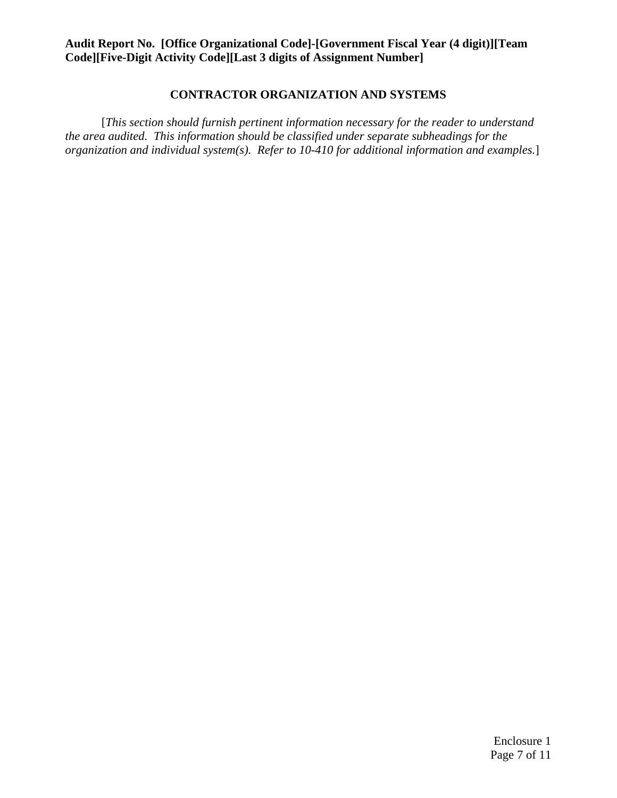#### **CONTRACTOR ORGANIZATION AND SYSTEMS**

<span id="page-9-0"></span>[*This section should furnish pertinent information necessary for the reader to understand the area audited. This information should be classified under separate subheadings for the organization and individual system(s). Refer to 10-410 for additional information and examples.*]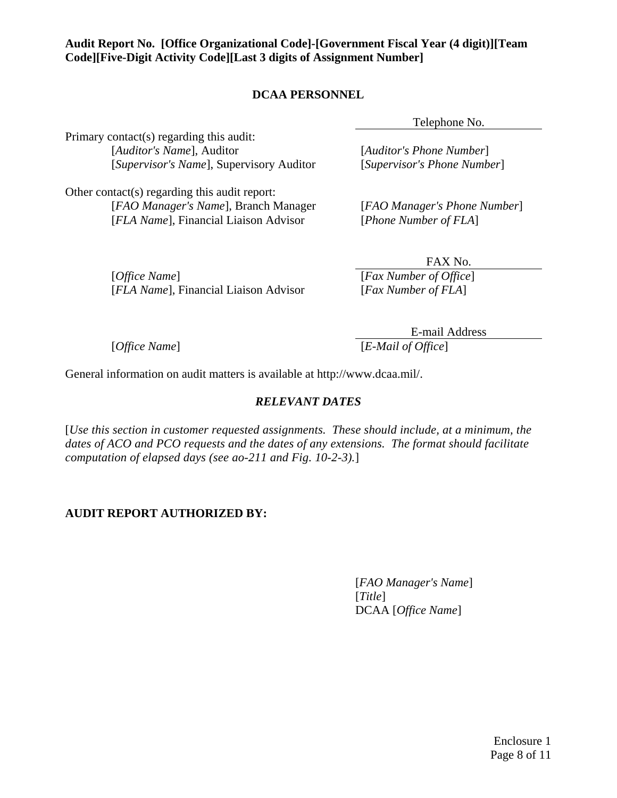#### **DCAA PERSONNEL**

Telephone No.

<span id="page-10-0"></span>Primary contact(s) regarding this audit: [*Auditor's Name*], Auditor [*Auditor's Phone Number*] [*Supervisor's Name*], Supervisory Auditor [*Supervisor's Phone Number*]

Other contact(s) regarding this audit report: [*FAO Manager's Name*], Branch Manager [*FAO Manager's Phone Number*] [*FLA Name*], Financial Liaison Advisor [*Phone Number of FLA*]

[*Office Name*] [*Fax Number of Office*] [*FLA Name*], Financial Liaison Advisor [*Fax Number of FLA*]

FAX No.

E-mail Address [*Office Name*] [*E-Mail of Office*]

General information on audit matters is available at http://www.dcaa.mil/.

#### *RELEVANT DATES*

[*Use this section in customer requested assignments. These should include, at a minimum, the dates of ACO and PCO requests and the dates of any extensions. The format should facilitate computation of elapsed days (see ao-211 and Fig. 10-2-3).*]

#### **AUDIT REPORT AUTHORIZED BY:**

[*FAO Manager's Name*] [*Title*] DCAA [*Office Name*]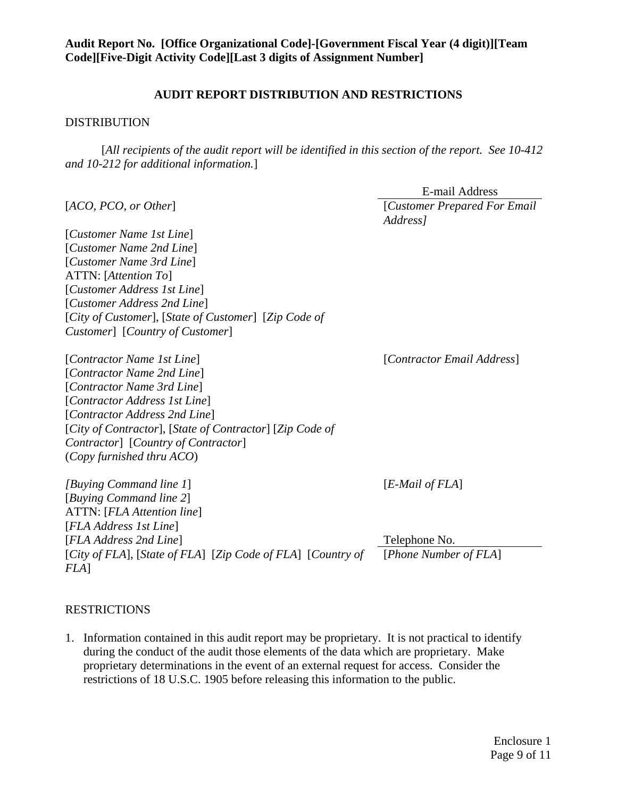#### **AUDIT REPORT DISTRIBUTION AND RESTRICTIONS**

#### DISTRIBUTION

[*All recipients of the audit report will be identified in this section of the report. See 10-412 and 10-212 for additional information.*]

|                                                                        | <b>E-mail Address</b>                     |
|------------------------------------------------------------------------|-------------------------------------------|
| [ACO, PCO, or Other]                                                   | [Customer Prepared For Email]<br>Address] |
| [Customer Name 1st Line]                                               |                                           |
| [Customer Name 2nd Line]                                               |                                           |
| [Customer Name 3rd Line]                                               |                                           |
| ATTN: [Attention To]                                                   |                                           |
| [Customer Address 1st Line]                                            |                                           |
| [Customer Address 2nd Line]                                            |                                           |
| [City of Customer], [State of Customer] [Zip Code of                   |                                           |
| Customer] [Country of Customer]                                        |                                           |
| [Contractor Name 1st Line]                                             | [Contractor Email Address]                |
| [Contractor Name 2nd Line]                                             |                                           |
| [Contractor Name 3rd Line]                                             |                                           |
| [Contractor Address 1st Line]                                          |                                           |
| [Contractor Address 2nd Line]                                          |                                           |
| [City of Contractor], [State of Contractor] [Zip Code of               |                                           |
| Contractor] [Country of Contractor]                                    |                                           |
| (Copy furnished thru ACO)                                              |                                           |
| [Buying Command line 1]                                                | $[E$ -Mail of $FLA]$                      |
| [Buying Command line 2]                                                |                                           |
| ATTN: [FLA Attention line]                                             |                                           |
| [FLA Address 1st Line]                                                 |                                           |
| [FLA Address 2nd Line]                                                 | Telephone No.                             |
| [City of FLA], [State of FLA] [Zip Code of FLA] [Country of<br>$FLA$ ] | [Phone Number of FLA]                     |
| <b>RESTRICTIONS</b>                                                    |                                           |

1. Information contained in this audit report may be proprietary. It is not practical to identify during the conduct of the audit those elements of the data which are proprietary. Make proprietary determinations in the event of an external request for access. Consider the restrictions of 18 U.S.C. 1905 before releasing this information to the public.

> Enclosure 1 Page 9 of 11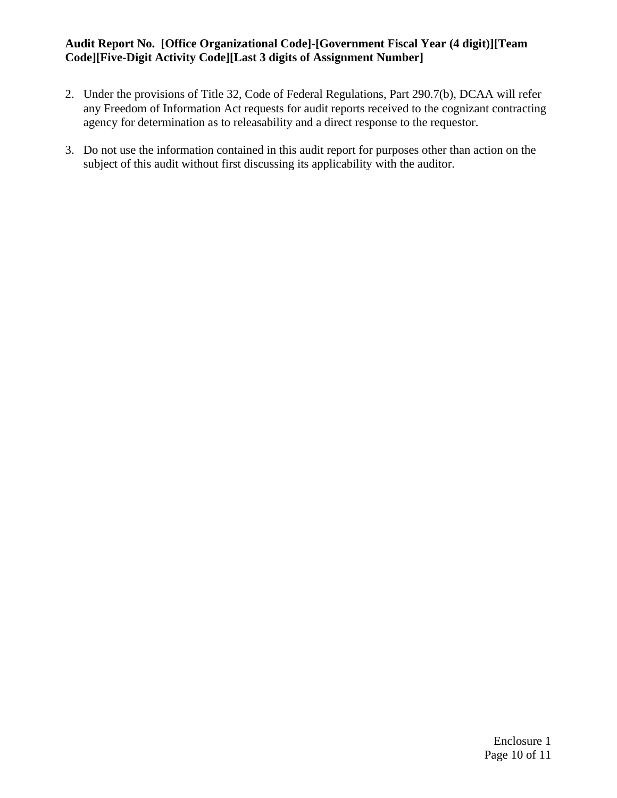- 2. Under the provisions of Title 32, Code of Federal Regulations, Part 290.7(b), DCAA will refer any Freedom of Information Act requests for audit reports received to the cognizant contracting agency for determination as to releasability and a direct response to the requestor.
- 3. Do not use the information contained in this audit report for purposes other than action on the subject of this audit without first discussing its applicability with the auditor.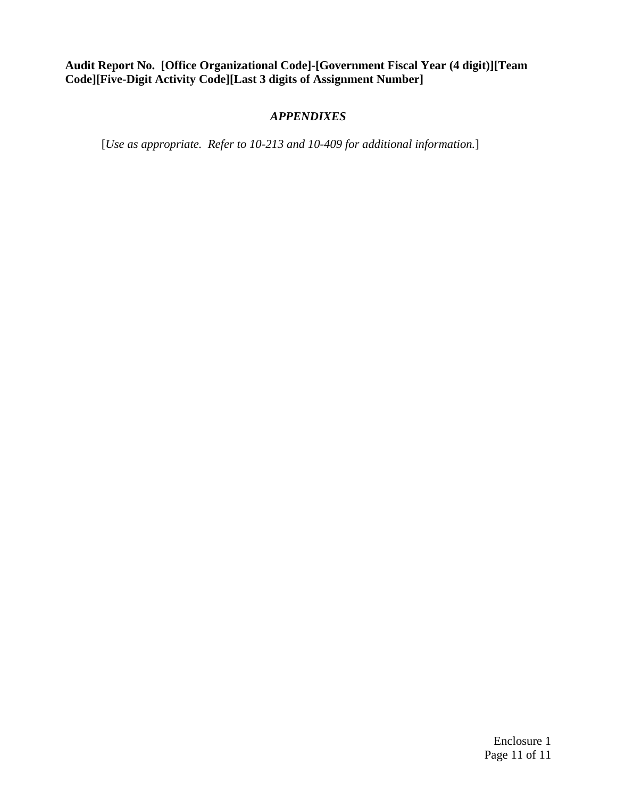#### *APPENDIXES*

[*Use as appropriate. Refer to 10-213 and 10-409 for additional information.*]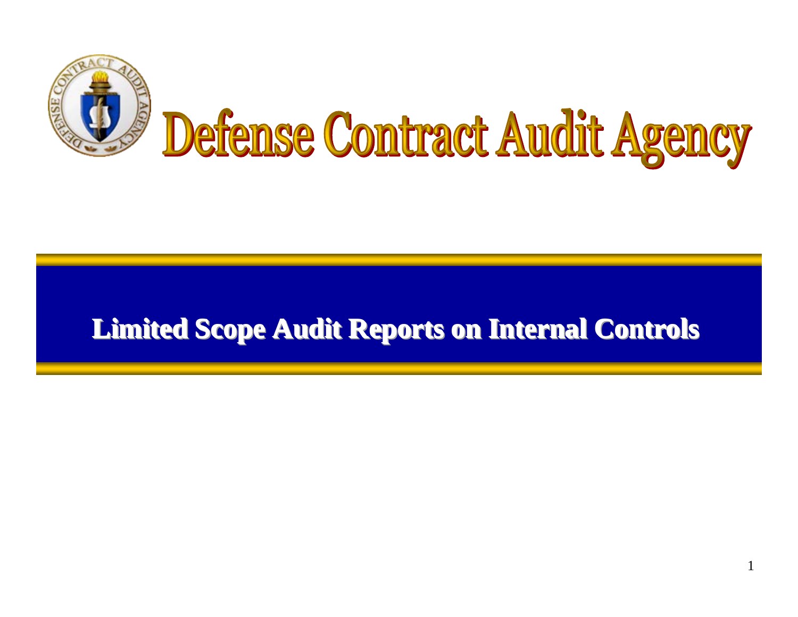

### **Limited Scope Audit Reports on Internal Controls Limited Scope Audit Reports on Internal Controls Limited Scope Audit Reports on Internal Controls**

1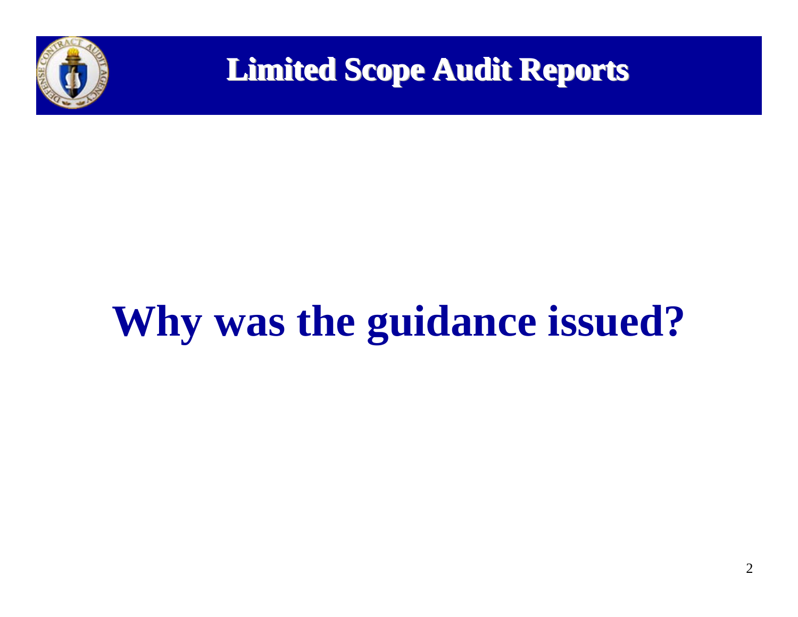

**Limited Scope Audit Reports** 

# **Why was the guidance issued?**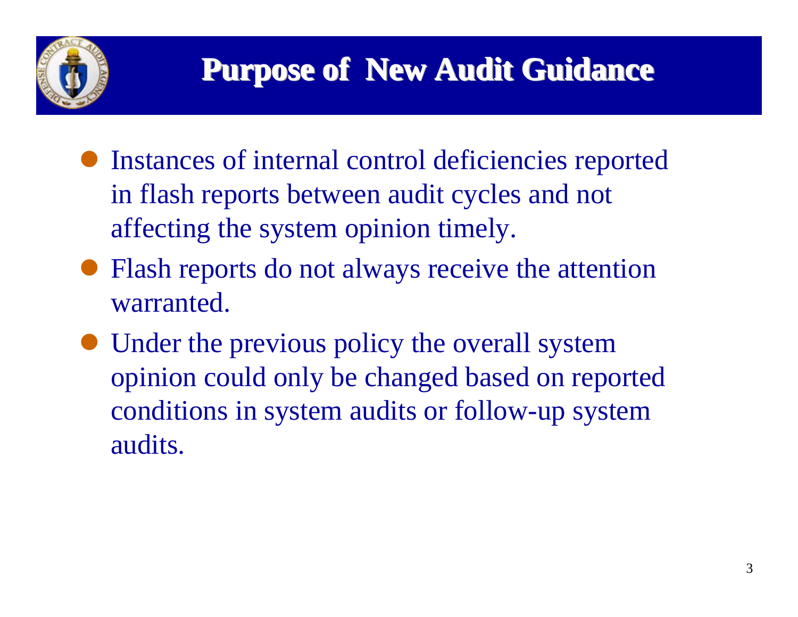

- Instances of internal control deficiencies reported in flash reports between audit cycles and not affecting the system opinion timely.
- Flash reports do not always receive the attention warranted.
- $\bullet$  Under the previous policy the overall system opinion could only be changed based on reported conditions in system audits or follow-up system audits.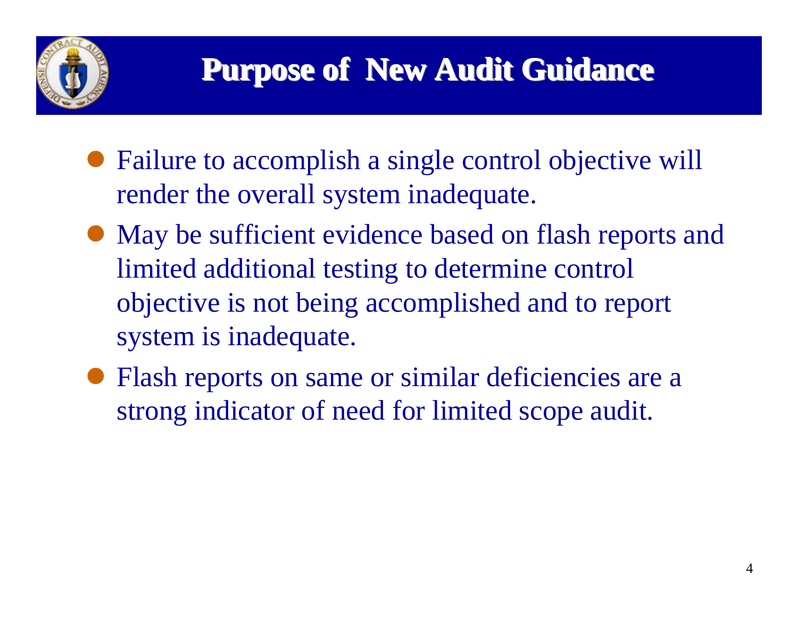

- Failure to accomplish a single control objective will render the overall system inadequate.
- May be sufficient evidence based on flash reports and limited additional testing to determine control objective is not being accomplished and to report system is inadequate.
- Flash reports on same or similar deficiencies are a strong indicator of need for limited scope audit.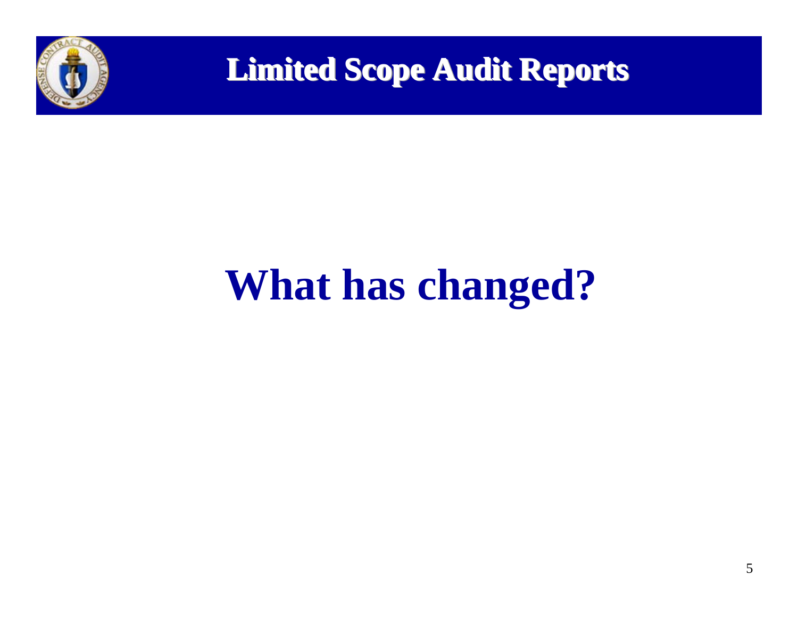

**Limited Scope Audit Reports** 

# **What has changed?**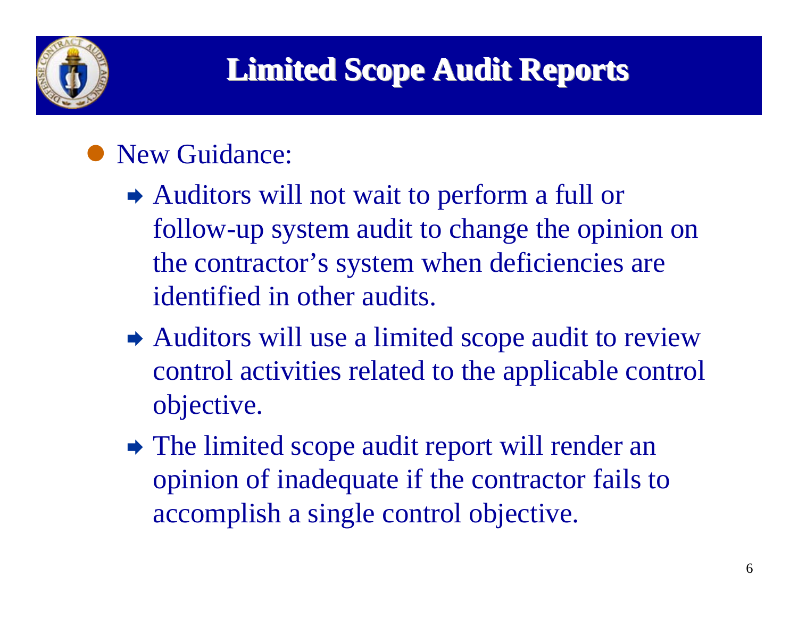

## • New Guidance:

- $\rightarrow$  Auditors will not wait to perform a full or follow-up system audit to change the opinion on the contractor's system when deficiencies are identified in other audits.
- $\rightarrow$  Auditors will use a limited scope audit to review control activities related to the applicable control objective.
- $\rightarrow$  The limited scope audit report will render an opinion of inadequate if the contractor fails to accomplish a single control objective.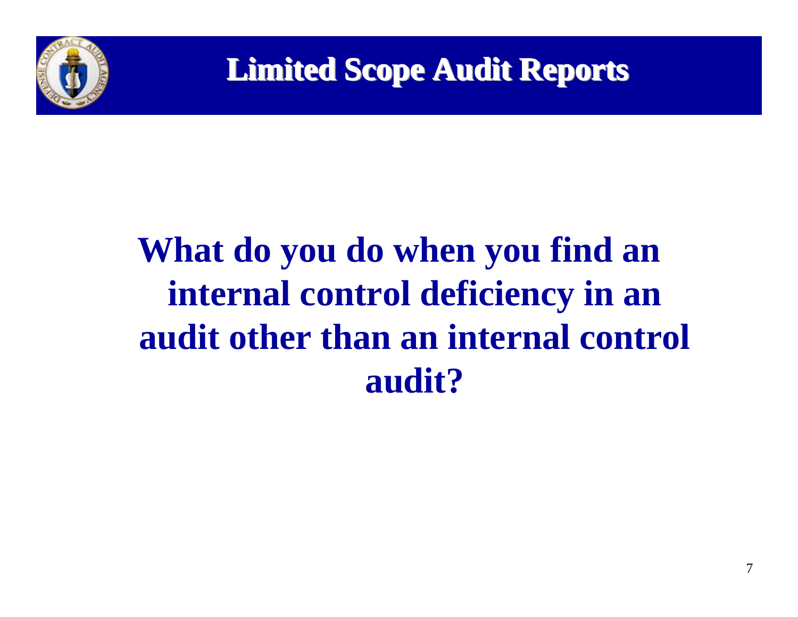

# **What do you do when you find an internal control deficiency in an audit other than an internal control audit?**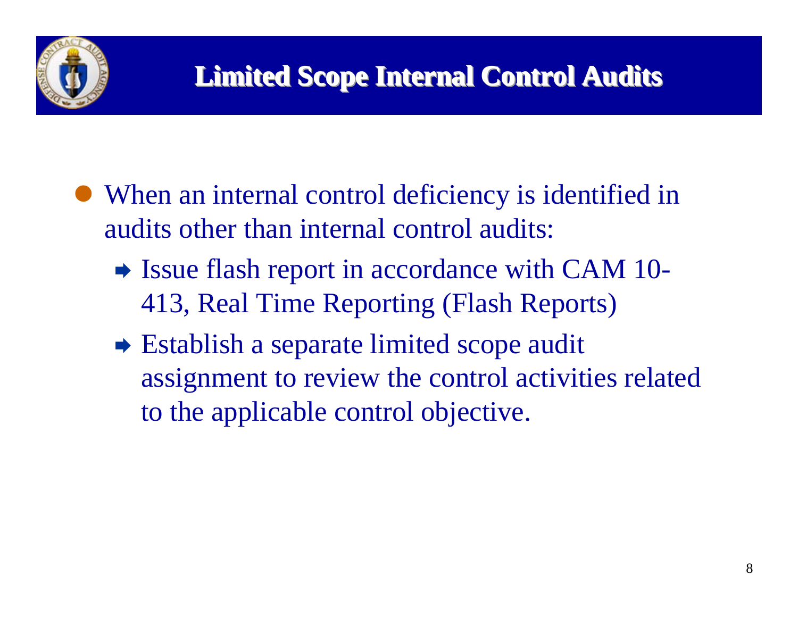

- When an internal control deficiency is identified in audits other than internal control audits:
	- $\rightarrow$  Issue flash report in accordance with CAM 10-413, Real Time Reporting (Flash Reports)
	- $\rightarrow$  Establish a separate limited scope audit assignment to review the control activities related to the applicable control objective.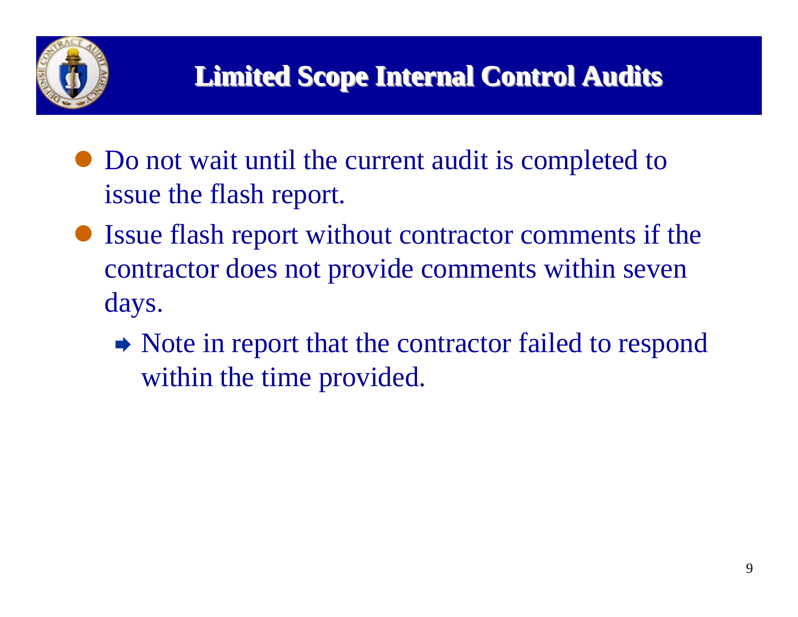

- Do not wait until the current audit is completed to issue the flash report.
- Issue flash report without contractor comments if the contractor does not provide comments within seven days.
	- $\rightarrow$  Note in report that the contractor failed to respond within the time provided.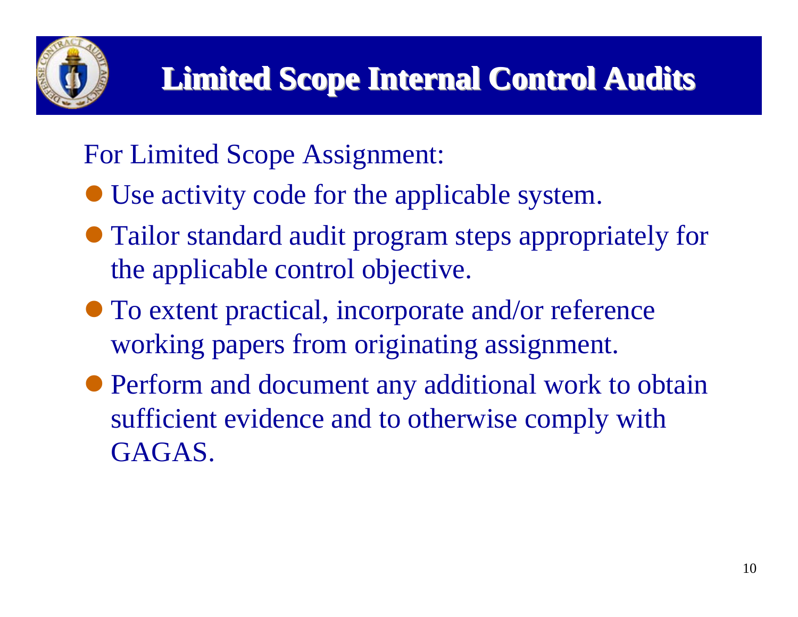For Limited Scope Assignment:

- Use activity code for the applicable system.
- Tailor standard audit program steps appropriately for the applicable control objective.
- $\bullet$  To extent practical, incorporate and/or reference working papers from originating assignment.
- Perform and document any additional work to obtain sufficient evidence and to otherwise comply with GAGAS.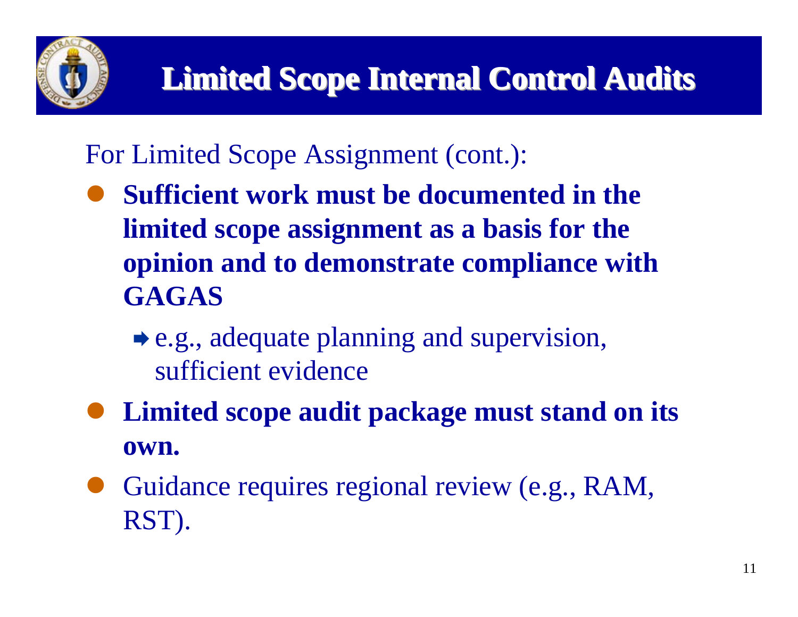

For Limited Scope Assignment (cont.):

- $\bullet$  **Sufficient work must be documented in the limited scope assignment as a basis for the opinion and to demonstrate compliance with GAGAS** 
	- $\bullet$  e.g., adequate planning and supervision, sufficient evidence
- $\bullet$  **Limited scope audit package must stand on its own.**
- $\bullet$  Guidance requires regional review (e.g., RAM, RST).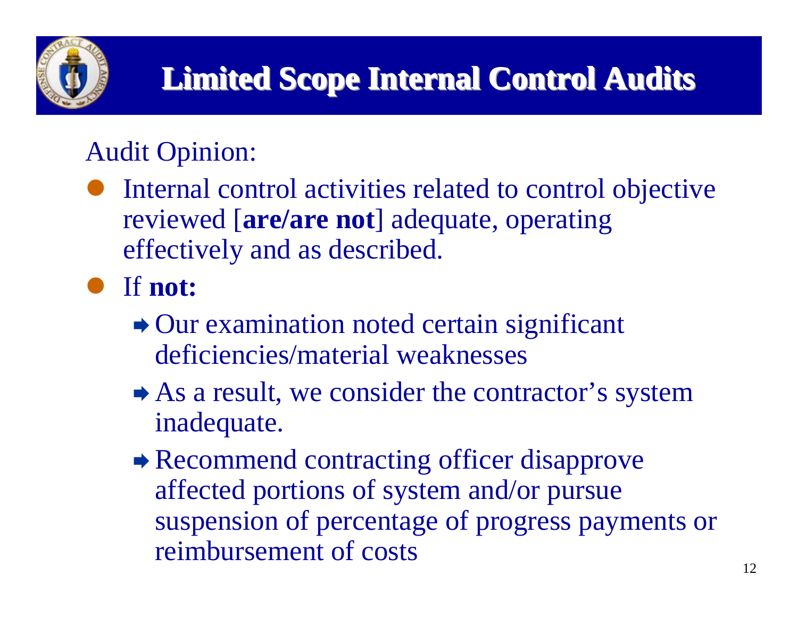

# Audit Opinion:

 $\bullet$  Internal control activities related to control objective reviewed [**are/are not**] adequate, operating effectively and as described.

## z If **not:**

- $\rightarrow$  Our examination noted certain significant deficiencies/material weaknesses
- $\rightarrow$  As a result, we consider the contractor's system inadequate.
- **► Recommend contracting officer disapprove** affected portions of system and/or pursue suspension of percentage of progress payments or reimbursement of costs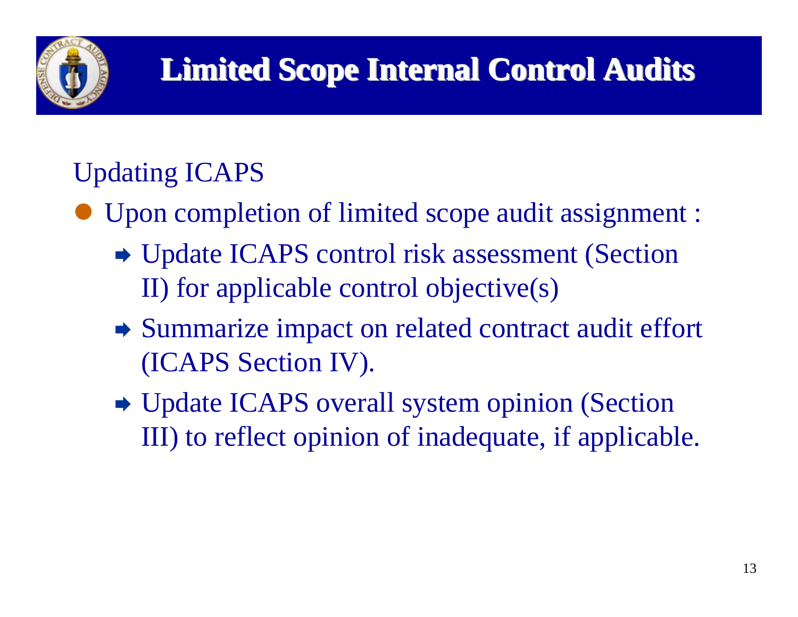

## Updating ICAPS

- $\bullet$  Upon completion of limited scope audit assignment :
	- **→ Update ICAPS control risk assessment (Section** II) for applicable control objective(s)
	- $\rightarrow$  Summarize impact on related contract audit effort (ICAPS Section IV).
	- Update ICAPS overall system opinion (Section III) to reflect opinion of inadequate, if applicable.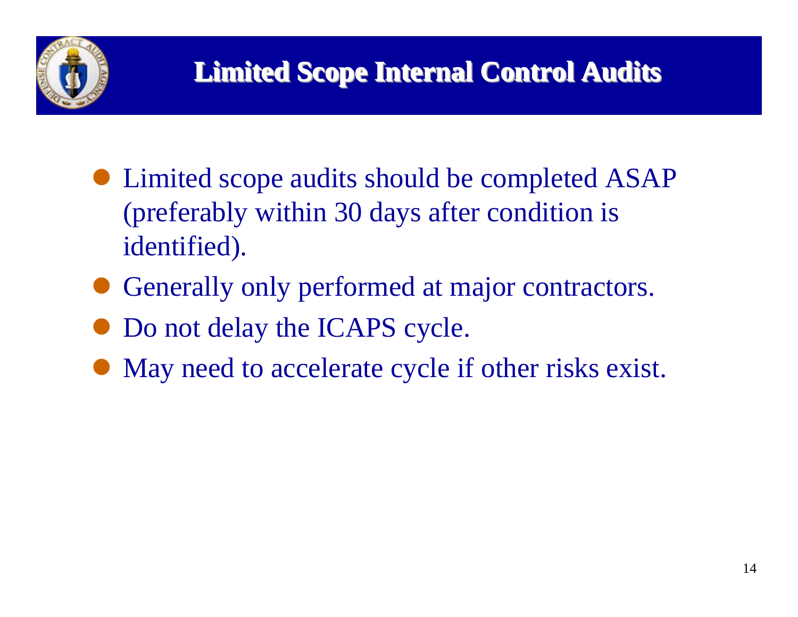

- Limited scope audits should be completed ASAP (preferably within 30 days after condition is identified).
- $\bullet$ Generally only performed at major contractors.
- $\bullet$ Do not delay the ICAPS cycle.
- $\bullet$ May need to accelerate cycle if other risks exist.